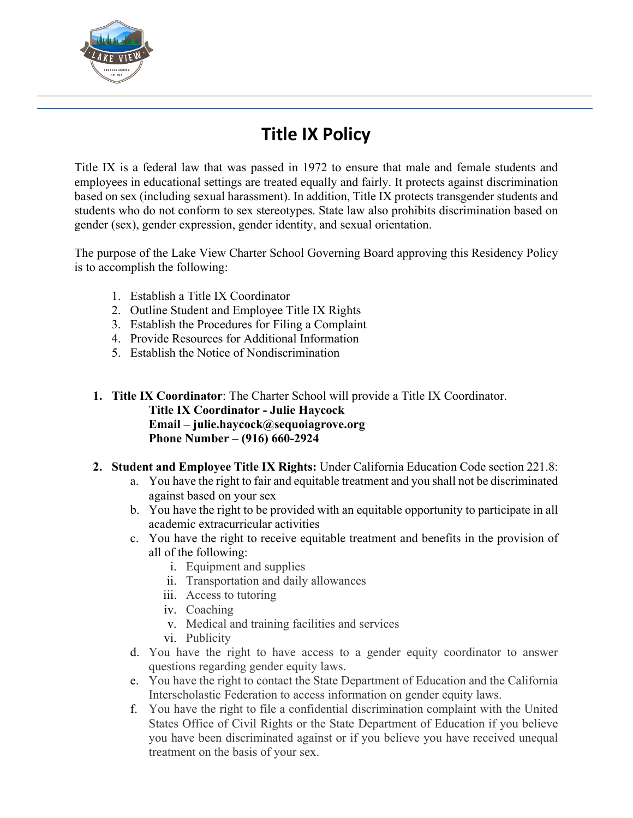

# **Title IX Policy**

Title IX is a federal law that was passed in 1972 to ensure that male and female students and employees in educational settings are treated equally and fairly. It protects against discrimination based on sex (including sexual harassment). In addition, Title IX protects transgender students and students who do not conform to sex stereotypes. State law also prohibits discrimination based on gender (sex), gender expression, gender identity, and sexual orientation.

The purpose of the Lake View Charter School Governing Board approving this Residency Policy is to accomplish the following:

- 1. Establish a Title IX Coordinator
- 2. Outline Student and Employee Title IX Rights
- 3. Establish the Procedures for Filing a Complaint
- 4. Provide Resources for Additional Information
- 5. Establish the Notice of Nondiscrimination

# **1. Title IX Coordinator**: The Charter School will provide a Title IX Coordinator. **Title IX Coordinator - Julie Haycock Email – julie.haycock@sequoiagrove.org Phone Number – (916) 660-2924**

- **2. Student and Employee Title IX Rights:** Under California Education Code section 221.8:
	- a. You have the right to fair and equitable treatment and you shall not be discriminated against based on your sex
	- b. You have the right to be provided with an equitable opportunity to participate in all academic extracurricular activities
	- c. You have the right to receive equitable treatment and benefits in the provision of all of the following:
		- i. Equipment and supplies
		- ii. Transportation and daily allowances
		- iii. Access to tutoring
		- iv. Coaching
		- v. Medical and training facilities and services
		- vi. Publicity
	- d. You have the right to have access to a gender equity coordinator to answer questions regarding gender equity laws.
	- e. You have the right to contact the State Department of Education and the California Interscholastic Federation to access information on gender equity laws.
	- f. You have the right to file a confidential discrimination complaint with the United States Office of Civil Rights or the State Department of Education if you believe you have been discriminated against or if you believe you have received unequal treatment on the basis of your sex.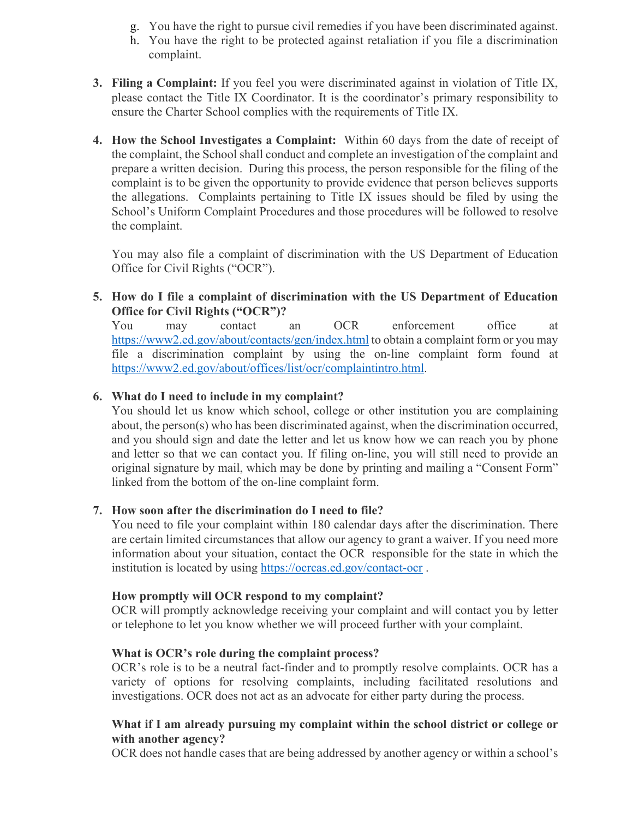- g. You have the right to pursue civil remedies if you have been discriminated against.
- h. You have the right to be protected against retaliation if you file a discrimination complaint.
- **3. Filing a Complaint:** If you feel you were discriminated against in violation of Title IX, please contact the Title IX Coordinator. It is the coordinator's primary responsibility to ensure the Charter School complies with the requirements of Title IX.
- **4. How the School Investigates a Complaint:** Within 60 days from the date of receipt of the complaint, the School shall conduct and complete an investigation of the complaint and prepare a written decision. During this process, the person responsible for the filing of the complaint is to be given the opportunity to provide evidence that person believes supports the allegations. Complaints pertaining to Title IX issues should be filed by using the School's Uniform Complaint Procedures and those procedures will be followed to resolve the complaint.

You may also file a complaint of discrimination with the US Department of Education Office for Civil Rights ("OCR").

## **5. How do I file a complaint of discrimination with the US Department of Education Office for Civil Rights ("OCR")?**

You may contact an OCR enforcement office at <https://www2.ed.gov/about/contacts/gen/index.html> to obtain a complaint form or you may file a discrimination complaint by using the on-line complaint form found at [https://www2.ed.gov/about/offices/list/ocr/complaintintro.html.](https://www2.ed.gov/about/offices/list/ocr/complaintintro.html)

# **6. What do I need to include in my complaint?**

You should let us know which school, college or other institution you are complaining about, the person(s) who has been discriminated against, when the discrimination occurred, and you should sign and date the letter and let us know how we can reach you by phone and letter so that we can contact you. If filing on-line, you will still need to provide an original signature by mail, which may be done by printing and mailing a "Consent Form" linked from the bottom of the on-line complaint form.

#### **7. How soon after the discrimination do I need to file?**

You need to file your complaint within 180 calendar days after the discrimination. There are certain limited circumstances that allow our agency to grant a waiver. If you need more information about your situation, contact the OCR responsible for the state in which the institution is located by using<https://ocrcas.ed.gov/contact-ocr> .

#### **How promptly will OCR respond to my complaint?**

OCR will promptly acknowledge receiving your complaint and will contact you by letter or telephone to let you know whether we will proceed further with your complaint.

#### **What is OCR's role during the complaint process?**

OCR's role is to be a neutral fact-finder and to promptly resolve complaints. OCR has a variety of options for resolving complaints, including facilitated resolutions and investigations. OCR does not act as an advocate for either party during the process.

## **What if I am already pursuing my complaint within the school district or college or with another agency?**

OCR does not handle cases that are being addressed by another agency or within a school's